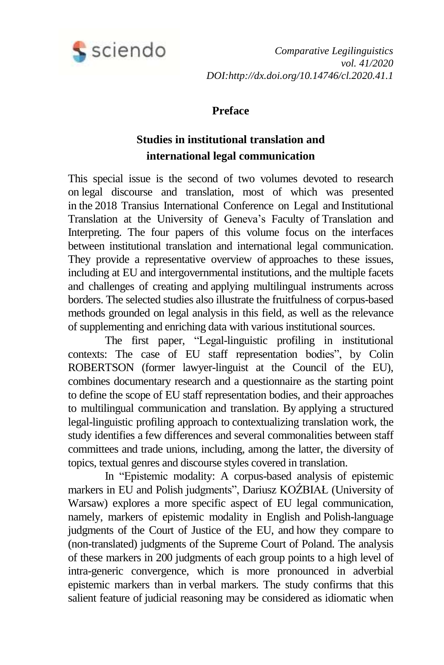

*Comparative Legilinguistics vol. 41/2020 DOI:http://dx.doi.org/10.14746/cl.2020.41.1*

## **Preface**

## **Studies in institutional translation and international legal communication**

This special issue is the second of two volumes devoted to research on legal discourse and translation, most of which was presented in the 2018 Transius International Conference on Legal and Institutional Translation at the University of Geneva's Faculty of Translation and Interpreting. The four papers of this volume focus on the interfaces between institutional translation and international legal communication. They provide a representative overview of approaches to these issues, including at EU and intergovernmental institutions, and the multiple facets and challenges of creating and applying multilingual instruments across borders. The selected studies also illustrate the fruitfulness of corpus-based methods grounded on legal analysis in this field, as well as the relevance of supplementing and enriching data with various institutional sources.

The first paper, "Legal-linguistic profiling in institutional contexts: The case of EU staff representation bodies", by Colin ROBERTSON (former lawyer-linguist at the Council of the EU), combines documentary research and a questionnaire as the starting point to define the scope of EU staff representation bodies, and their approaches to multilingual communication and translation. By applying a structured legal-linguistic profiling approach to contextualizing translation work, the study identifies a few differences and several commonalities between staff committees and trade unions, including, among the latter, the diversity of topics, textual genres and discourse styles covered in translation.

In "Epistemic modality: A corpus-based analysis of epistemic markers in EU and Polish judgments", Dariusz KOŹBIAŁ (University of Warsaw) explores a more specific aspect of EU legal communication, namely, markers of epistemic modality in English and Polish-language judgments of the Court of Justice of the EU, and how they compare to (non-translated) judgments of the Supreme Court of Poland. The analysis of these markers in 200 judgments of each group points to a high level of intra-generic convergence, which is more pronounced in adverbial epistemic markers than in verbal markers. The study confirms that this salient feature of judicial reasoning may be considered as idiomatic when